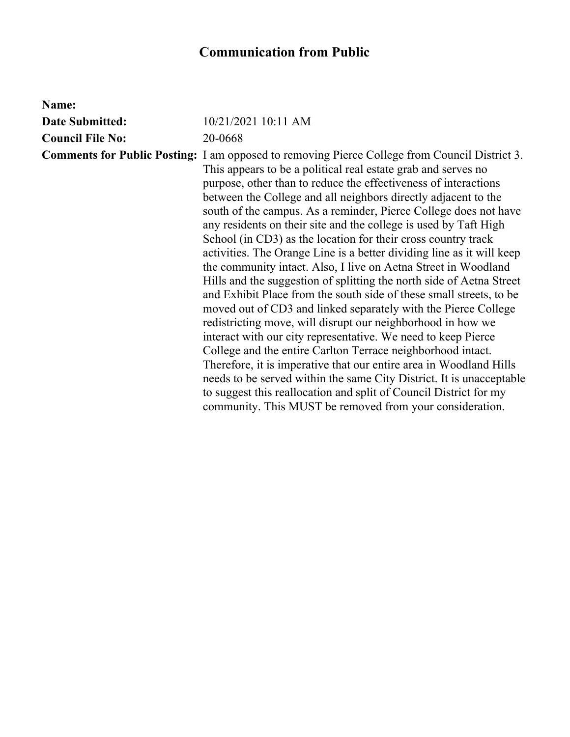## **Communication from Public**

| Name:                   |                                                                                                                                                                                                                                                                                                                                                                                                                                                                                                                                                                                                                                                                                                                                                                                                                                                                                                                                                                                                                                                                                                                                                                                                                                                                                                                                                               |
|-------------------------|---------------------------------------------------------------------------------------------------------------------------------------------------------------------------------------------------------------------------------------------------------------------------------------------------------------------------------------------------------------------------------------------------------------------------------------------------------------------------------------------------------------------------------------------------------------------------------------------------------------------------------------------------------------------------------------------------------------------------------------------------------------------------------------------------------------------------------------------------------------------------------------------------------------------------------------------------------------------------------------------------------------------------------------------------------------------------------------------------------------------------------------------------------------------------------------------------------------------------------------------------------------------------------------------------------------------------------------------------------------|
| <b>Date Submitted:</b>  | 10/21/2021 10:11 AM                                                                                                                                                                                                                                                                                                                                                                                                                                                                                                                                                                                                                                                                                                                                                                                                                                                                                                                                                                                                                                                                                                                                                                                                                                                                                                                                           |
| <b>Council File No:</b> | 20-0668                                                                                                                                                                                                                                                                                                                                                                                                                                                                                                                                                                                                                                                                                                                                                                                                                                                                                                                                                                                                                                                                                                                                                                                                                                                                                                                                                       |
|                         | <b>Comments for Public Posting:</b> I am opposed to removing Pierce College from Council District 3.<br>This appears to be a political real estate grab and serves no<br>purpose, other than to reduce the effectiveness of interactions<br>between the College and all neighbors directly adjacent to the<br>south of the campus. As a reminder, Pierce College does not have<br>any residents on their site and the college is used by Taft High<br>School (in CD3) as the location for their cross country track<br>activities. The Orange Line is a better dividing line as it will keep<br>the community intact. Also, I live on Aetna Street in Woodland<br>Hills and the suggestion of splitting the north side of Aetna Street<br>and Exhibit Place from the south side of these small streets, to be<br>moved out of CD3 and linked separately with the Pierce College<br>redistricting move, will disrupt our neighborhood in how we<br>interact with our city representative. We need to keep Pierce<br>College and the entire Carlton Terrace neighborhood intact.<br>Therefore, it is imperative that our entire area in Woodland Hills<br>needs to be served within the same City District. It is unacceptable<br>to suggest this reallocation and split of Council District for my<br>community. This MUST be removed from your consideration. |